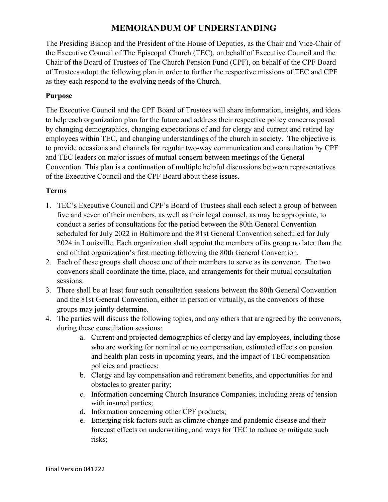## **MEMORANDUM OF UNDERSTANDING**

The Presiding Bishop and the President of the House of Deputies, as the Chair and Vice-Chair of the Executive Council of The Episcopal Church (TEC), on behalf of Executive Council and the Chair of the Board of Trustees of The Church Pension Fund (CPF), on behalf of the CPF Board of Trustees adopt the following plan in order to further the respective missions of TEC and CPF as they each respond to the evolving needs of the Church.

## **Purpose**

The Executive Council and the CPF Board of Trustees will share information, insights, and ideas to help each organization plan for the future and address their respective policy concerns posed by changing demographics, changing expectations of and for clergy and current and retired lay employees within TEC, and changing understandings of the church in society. The objective is to provide occasions and channels for regular two-way communication and consultation by CPF and TEC leaders on major issues of mutual concern between meetings of the General Convention. This plan is a continuation of multiple helpful discussions between representatives of the Executive Council and the CPF Board about these issues.

## **Terms**

- 1. TEC's Executive Council and CPF's Board of Trustees shall each select a group of between five and seven of their members, as well as their legal counsel, as may be appropriate, to conduct a series of consultations for the period between the 80th General Convention scheduled for July 2022 in Baltimore and the 81st General Convention scheduled for July 2024 in Louisville. Each organization shall appoint the members of its group no later than the end of that organization's first meeting following the 80th General Convention.
- 2. Each of these groups shall choose one of their members to serve as its convenor. The two convenors shall coordinate the time, place, and arrangements for their mutual consultation sessions.
- 3. There shall be at least four such consultation sessions between the 80th General Convention and the 81st General Convention, either in person or virtually, as the convenors of these groups may jointly determine.
- 4. The parties will discuss the following topics, and any others that are agreed by the convenors, during these consultation sessions:
	- a. Current and projected demographics of clergy and lay employees, including those who are working for nominal or no compensation, estimated effects on pension and health plan costs in upcoming years, and the impact of TEC compensation policies and practices;
	- b. Clergy and lay compensation and retirement benefits, and opportunities for and obstacles to greater parity;
	- c. Information concerning Church Insurance Companies, including areas of tension with insured parties;
	- d. Information concerning other CPF products;
	- e. Emerging risk factors such as climate change and pandemic disease and their forecast effects on underwriting, and ways for TEC to reduce or mitigate such risks;